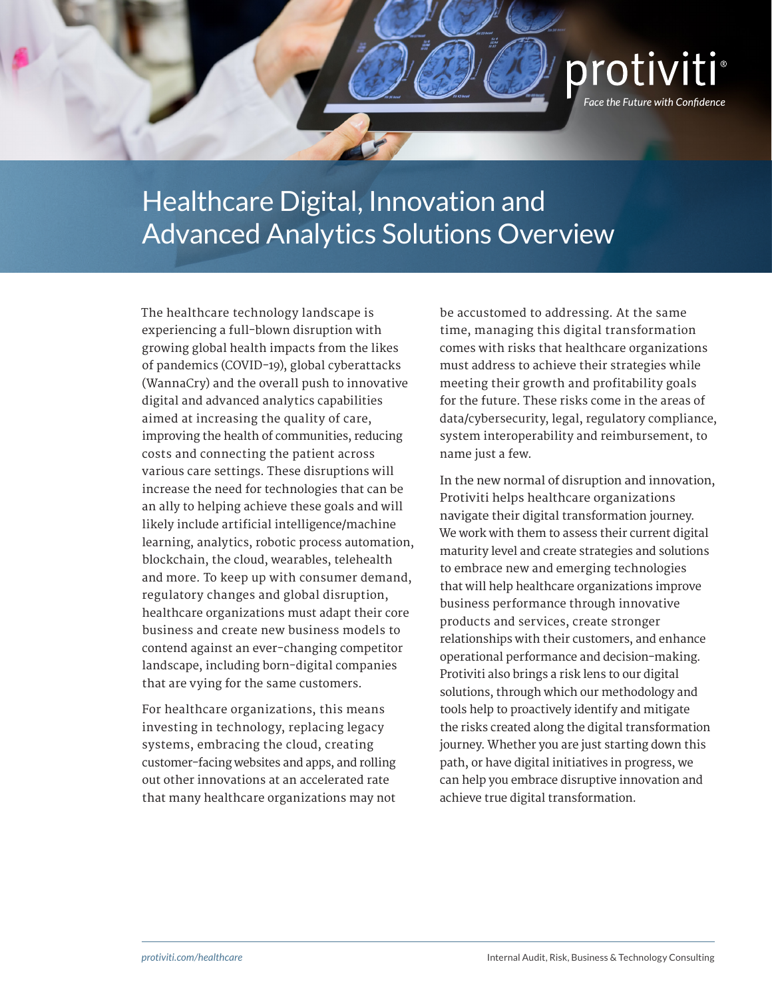

## Healthcare Digital, Innovation and Advanced Analytics Solutions Overview

The healthcare technology landscape is experiencing a full-blown disruption with growing global health impacts from the likes of pandemics (COVID-19), global cyberattacks (WannaCry) and the overall push to innovative digital and advanced analytics capabilities aimed at increasing the quality of care, improving the health of communities, reducing costs and connecting the patient across various care settings. These disruptions will increase the need for technologies that can be an ally to helping achieve these goals and will likely include artificial intelligence/machine learning, analytics, robotic process automation, blockchain, the cloud, wearables, telehealth and more. To keep up with consumer demand, regulatory changes and global disruption, healthcare organizations must adapt their core business and create new business models to contend against an ever-changing competitor landscape, including born-digital companies that are vying for the same customers.

For healthcare organizations, this means investing in technology, replacing legacy systems, embracing the cloud, creating customer-facing websites and apps, and rolling out other innovations at an accelerated rate that many healthcare organizations may not be accustomed to addressing. At the same time, managing this digital transformation comes with risks that healthcare organizations must address to achieve their strategies while meeting their growth and profitability goals for the future. These risks come in the areas of data/cybersecurity, legal, regulatory compliance, system interoperability and reimbursement, to name just a few.

In the new normal of disruption and innovation, Protiviti helps healthcare organizations navigate their digital transformation journey. We work with them to assess their current digital maturity level and create strategies and solutions to embrace new and emerging technologies that will help healthcare organizations improve business performance through innovative products and services, create stronger relationships with their customers, and enhance operational performance and decision-making. Protiviti also brings a risk lens to our digital solutions, through which our methodology and tools help to proactively identify and mitigate the risks created along the digital transformation journey. Whether you are just starting down this path, or have digital initiatives in progress, we can help you embrace disruptive innovation and achieve true digital transformation.